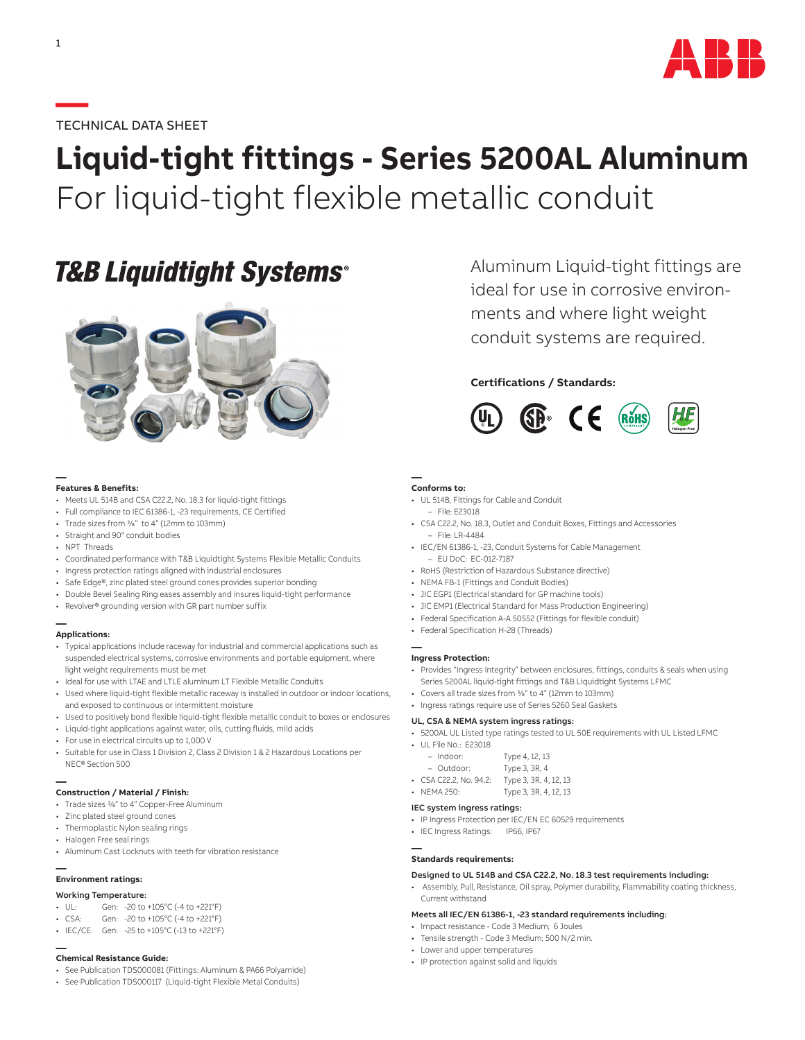

### **—**TECHNICAL DATA SHEET

# **Liquid-tight fittings - Series 5200AL Aluminum** For liquid-tight flexible metallic conduit

## **T&B Liquidtight Systems®**



#### **— Features & Benefits:**

- Meets UL 514B and CSA C22.2, No. 18.3 for liquid-tight fittings
- Full compliance to IEC 61386-1, -23 requirements, CE Certified
- Trade sizes from 3/8" to 4" (12mm to 103mm)
- Straight and 90° conduit bodies
- NPT Threads
- Coordinated performance with T&B Liquidtight Systems Flexible Metallic Conduits
- Ingress protection ratings aligned with industrial enclosures
- Safe Edge®, zinc plated steel ground cones provides superior bonding
- Double Bevel Sealing Ring eases assembly and insures liquid-tight performance
- Revolver® grounding version with GR part number suffix

## **— Applications:**

- Typical applications include raceway for industrial and commercial applications such as suspended electrical systems, corrosive environments and portable equipment, where light weight requirements must be met
- Ideal for use with LTAE and LTLE aluminum LT Flexible Metallic Conduits
- Used where liquid-tight flexible metallic raceway is installed in outdoor or indoor locations, and exposed to continuous or intermittent moisture
- Used to positively bond flexible liquid-tight flexible metallic conduit to boxes or enclosures
- Liquid-tight applications against water, oils, cutting fluids, mild acids
- For use in electrical circuits up to 1,000 V
- Suitable for use in Class 1 Division 2, Class 2 Division 1 & 2 Hazardous Locations per NEC® Section 500

#### **— Construction / Material / Finish:**

- Trade sizes 3/8" to 4" Copper-Free Aluminum
- Zinc plated steel ground cones
- Thermoplastic Nylon sealing rings
- Halogen Free seal rings
- Aluminum Cast Locknuts with teeth for vibration resistance

#### **— Environment ratings:**

- Working Temperature:
- UL: Gen: -20 to +105°C (-4 to +221°F)
- CSA: Gen: -20 to +105°C (-4 to +221°F)
- IEC/CE: Gen: -25 to +105°C (-13 to +221°F)

## **— Chemical Resistance Guide:**

- See Publication TDS000081 (Fittings: Aluminum & PA66 Polyamide)
- See Publication TDS000117 (Liquid-tight Flexible Metal Conduits)

Aluminum Liquid-tight fittings are ideal for use in corrosive environments and where light weight conduit systems are required.

### **Certifications / Standards:**



#### **— Conforms to:**

- UL 514B, Fittings for Cable and Conduit
	- File: E23018
- CSA C22.2, No. 18.3, Outlet and Conduit Boxes, Fittings and Accessories – File: LR-4484
- IEC/EN 61386-1, -23, Conduit Systems for Cable Management – EU DoC: EC-012-7187
- RoHS (Restriction of Hazardous Substance directive)
- NEMA FB-1 (Fittings and Conduit Bodies)
- JIC EGP1 (Electrical standard for GP machine tools)
- JIC EMP1 (Electrical Standard for Mass Production Engineering)
- Federal Specification A-A 50552 (Fittings for flexible conduit)
- Federal Specification H-28 (Threads)

#### **— Ingress Protection:**

- Provides "Ingress Integrity" between enclosures, fittings, conduits & seals when using Series 5200AL liquid-tight fittings and T&B Liquidtight Systems LFMC
- Covers all trade sizes from 3/8" to 4" (12mm to 103mm)
- Ingress ratings require use of Series 5260 Seal Gaskets

#### UL, CSA & NEMA system ingress ratings:

- 5200AL UL Listed type ratings tested to UL 50E requirements with UL Listed LFMC
- UL File No.: E23018

| $-$ Indoor:            | Type 4, 12, 13        |
|------------------------|-----------------------|
| - Outdoor:             | Type 3, 3R, 4         |
| • CSA C22.2, No. 94.2: | Type 3, 3R, 4, 12, 13 |

• NEMA 250: Type 3, 3R, 4, 12, 13

#### IEC system ingress ratings:

- IP Ingress Protection per IEC/EN EC 60529 requirements
- IEC Ingress Ratings: IP66, IP67

#### **— Standards requirements:**

#### Designed to UL 514B and CSA C22.2, No. 18.3 test requirements including:

• Assembly, Pull, Resistance, Oil spray, Polymer durability, Flammability coating thickness, Current withstand

#### Meets all IEC/EN 61386-1, -23 standard requirements including:

- Impact resistance Code 3 Medium; 6 Joules
- Tensile strength Code 3 Medium; 500 N/2 min.
- Lower and upper temperatures
- IP protection against solid and liquids